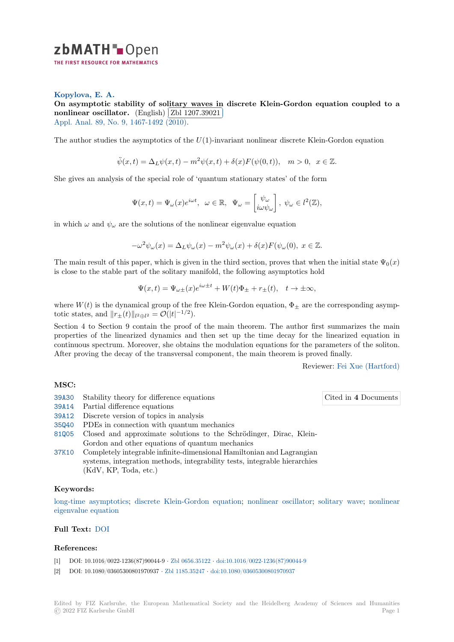

## **Kopylova, E. A.**

**[O](https://zbmath.org/)n asymptotic stability of solitary waves in discrete Klein-Gordon equation coupled to a nonlinear oscillator.** (English) **Zbl 1207.39021** Appl. Anal. 89, No. 9, 1467-1492 (2010). ✁

[The author studies](https://zbmath.org/authors/?q=ai:kopylova.elena-a) the asymptoti[cs of the](https://zbmath.org/1207.39021) *U*(1)[-invariant nonlinear discrete Klein-Gordon equation](https://zbmath.org/1207.39021)

$$
\ddot{\psi}(x,t)=\Delta_L\psi(x,t)-m^2\psi(x,t)+\delta(x)F(\psi(0,t)),\quad m>0,\;\;x\in\mathbb{Z}.
$$

She gives an analysis of the special role of 'quantum stationary states' of the form

$$
\Psi(x,t)=\Psi_\omega(x)e^{i\omega t},\;\;\omega\in\mathbb{R},\;\;\Psi_\omega=\begin{bmatrix}\psi_\omega\\i\omega\psi_\omega\end{bmatrix},\;\psi_\omega\in l^2(\mathbb{Z}),
$$

in which  $\omega$  and  $\psi_{\omega}$  are the solutions of the nonlinear eigenvalue equation

$$
-\omega^2 \psi_{\omega}(x) = \Delta_L \psi_{\omega}(x) - m^2 \psi_{\omega}(x) + \delta(x) F(\psi_{\omega}(0), x \in \mathbb{Z}.
$$

The main result of this paper, which is given in the third section, proves that when the initial state  $\Psi_0(x)$ is close to the stable part of the solitary manifold, the following asymptotics hold

$$
\Psi(x,t) = \Psi_{\omega\pm}(x)e^{i\omega\pm t} + W(t)\Phi_{\pm} + r_{\pm}(t), \quad t \to \pm \infty,
$$

where  $W(t)$  is the dynamical group of the free Klein-Gordon equation,  $\Phi_{\pm}$  are the corresponding asymptotic states, and  $||r_{\pm}(t)||_{l^2 \oplus l^2} = \mathcal{O}(|t|^{-1/2})$ .

Section 4 to Section 9 contain the proof of the main theorem. The author first summarizes the main properties of the linearized dynamics and then set up the time decay for the linearized equation in continuous spectrum. Moreover, she obtains the modulation equations for the parameters of the soliton. After proving the decay of the transversal component, the main theorem is proved finally.

Reviewer: Fei Xue (Hartford)

Cited in **4** [Documents](https://zbmath.org/authors/?q=xue.fei)

### **MSC:**

- 39A30 Stability theory for difference equations
- 39A14 Partial difference equations
- 39A12 Discrete version of topics in analysis
- 35Q40 PDEs in connection with quantum mechanics
- [81Q05](https://zbmath.org/classification/?q=cc:39A30) Closed and approximate solutions to the Schrödinger, Dirac, Klein-Gordon and other equations of quantum mechanics
- [37K10](https://zbmath.org/classification/?q=cc:39A12) Completely integrable infinite-dimensional Hamiltonian and Lagrangian systems, integration methods, integrability tests, integrable hierarchies (KdV, KP, Toda, etc.)

### **[Keyw](https://zbmath.org/classification/?q=cc:37K10)ords:**

long-time asymptotics; discrete Klein-Gordon equation; nonlinear oscillator; solitary wave; nonlinear eigenvalue equation

# **Full Text:** DOI

### **[References:](https://zbmath.org/?q=ut:nonlinear+eigenvalue+equation)**

- [1] DOI: 10.1016/0022-1236(87)90044-9 *·* Zbl 0656.35122 *·* doi:10.1016/0022-1236(87)90044-9
- [2] DOI: 10.1[080/0](https://dx.doi.org/10.1080/00036810903277176)3605300801970937 *·* Zbl 1185.35247 *·* doi:10.1080/03605300801970937